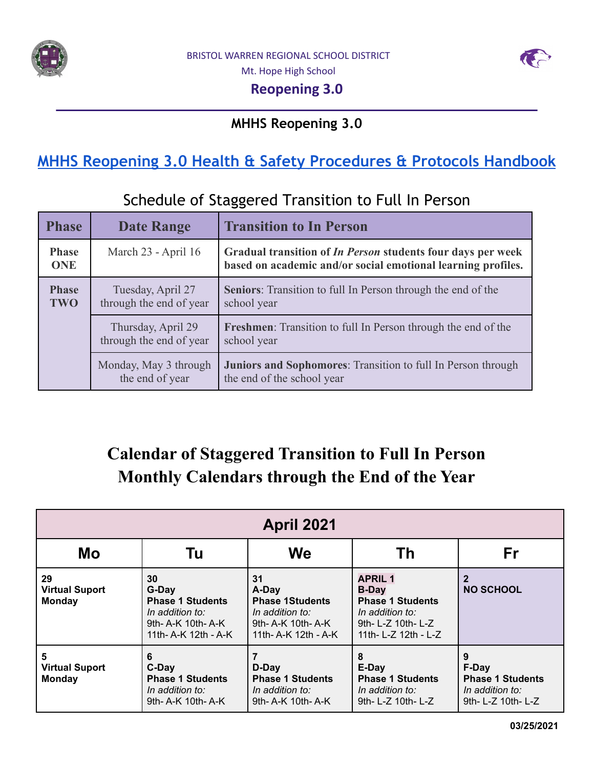



Mt. Hope High School

### **Reopening 3.0**

### **MHHS Reopening 3.0**

# **MHHS Reopening 3.0 Health & Safety [Procedures](https://docs.google.com/document/u/0/d/1adEw29BgidzMja4AfPRq4AYOzJkUZSALz3jgZwbYBzs/edit) & Protocols Handbook**

## Schedule of Staggered Transition to Full In Person

| <b>Phase</b>               | <b>Date Range</b>                             | <b>Transition to In Person</b>                                                                                                     |
|----------------------------|-----------------------------------------------|------------------------------------------------------------------------------------------------------------------------------------|
| <b>Phase</b><br><b>ONE</b> | March 23 - April 16                           | Gradual transition of <i>In Person</i> students four days per week<br>based on academic and/or social emotional learning profiles. |
| <b>Phase</b><br><b>TWO</b> | Tuesday, April 27<br>through the end of year  | <b>Seniors:</b> Transition to full In Person through the end of the<br>school year                                                 |
|                            | Thursday, April 29<br>through the end of year | <b>Freshmen:</b> Transition to full In Person through the end of the<br>school year                                                |
|                            | Monday, May 3 through<br>the end of year      | <b>Juniors and Sophomores:</b> Transition to full In Person through<br>the end of the school year                                  |

# **Calendar of Staggered Transition to Full In Person Monthly Calendars through the End of the Year**

| <b>April 2021</b>                                                                                                                                             |                                                                                |                                                                                                  |                                                                                                                            |                                                                                |  |
|---------------------------------------------------------------------------------------------------------------------------------------------------------------|--------------------------------------------------------------------------------|--------------------------------------------------------------------------------------------------|----------------------------------------------------------------------------------------------------------------------------|--------------------------------------------------------------------------------|--|
| Mo                                                                                                                                                            | Tu                                                                             | <b>We</b>                                                                                        | Th                                                                                                                         | Fr                                                                             |  |
| 29<br>30<br>31<br><b>Virtual Suport</b><br>G-Day<br><b>Phase 1 Students</b><br><b>Monday</b><br>In addition to:<br>9th- A-K 10th- A-K<br>11th- A-K 12th - A-K |                                                                                | A-Day<br><b>Phase 1Students</b><br>In addition to:<br>9th- A-K 10th- A-K<br>11th- A-K 12th - A-K | <b>APRIL 1</b><br><b>B-Day</b><br><b>Phase 1 Students</b><br>In addition to:<br>9th- L-Z 10th- L-Z<br>11th- L-Z 12th - L-Z | <b>NO SCHOOL</b>                                                               |  |
| 5<br><b>Virtual Suport</b><br><b>Monday</b>                                                                                                                   | 6<br>C-Day<br><b>Phase 1 Students</b><br>In addition to:<br>9th- A-K 10th- A-K | D-Day<br><b>Phase 1 Students</b><br>In addition to:<br>9th- A-K 10th- A-K                        | 8<br>E-Day<br><b>Phase 1 Students</b><br>In addition to:<br>9th- L-Z 10th- L-Z                                             | 9<br>F-Day<br><b>Phase 1 Students</b><br>In addition to:<br>9th- L-Z 10th- L-Z |  |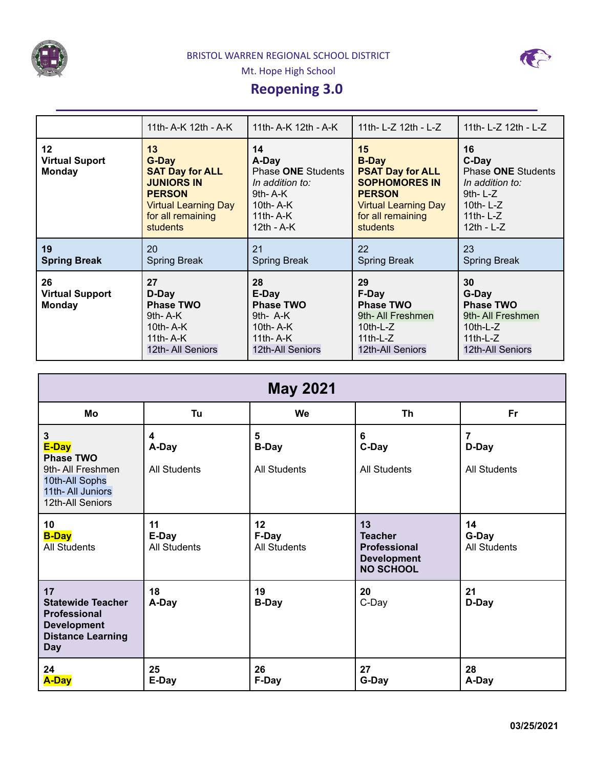



Mt. Hope High School

## **Reopening 3.0**

|                                               | 11th- A-K 12th - A-K                                                                                                                               | 11th- A-K 12th - A-K                                                                                         | 11th- L-Z 12th - L-Z                                                                                                                                          | 11th- L-Z 12th - L-Z                                                                                            |
|-----------------------------------------------|----------------------------------------------------------------------------------------------------------------------------------------------------|--------------------------------------------------------------------------------------------------------------|---------------------------------------------------------------------------------------------------------------------------------------------------------------|-----------------------------------------------------------------------------------------------------------------|
| 12<br><b>Virtual Suport</b><br><b>Monday</b>  | 13<br>G-Day<br><b>SAT Day for ALL</b><br><b>JUNIORS IN</b><br><b>PERSON</b><br><b>Virtual Learning Day</b><br>for all remaining<br><b>students</b> | 14<br>A-Day<br>Phase ONE Students<br>In addition to:<br>$9th - A-K$<br>10th-A-K<br>11th- $A-K$<br>12th - A-K | 15<br><b>B-Day</b><br><b>PSAT Day for ALL</b><br><b>SOPHOMORES IN</b><br><b>PERSON</b><br><b>Virtual Learning Day</b><br>for all remaining<br><b>students</b> | 16<br>C-Day<br>Phase ONE Students<br>In addition to:<br>$9th-L-Z$<br>10th- $L-Z$<br>11th- $L-Z$<br>$12th - L-Z$ |
| 19<br><b>Spring Break</b>                     | 20<br><b>Spring Break</b>                                                                                                                          | 21<br><b>Spring Break</b>                                                                                    | 22<br><b>Spring Break</b>                                                                                                                                     | 23<br><b>Spring Break</b>                                                                                       |
| 26<br><b>Virtual Support</b><br><b>Monday</b> | 27<br>D-Day<br><b>Phase TWO</b><br>$9th - A-K$<br>10th- $A-K$<br>11th- $A-K$<br>12th- All Seniors                                                  | 28<br>E-Day<br><b>Phase TWO</b><br>9th- $A-K$<br>10th- $A-K$<br>11th- $A-K$<br>12th-All Seniors              | 29<br>F-Day<br><b>Phase TWO</b><br>9th-All Freshmen<br>$10th-L-Z$<br>11th-L- $Z$<br>12th-All Seniors                                                          | 30<br>G-Day<br><b>Phase TWO</b><br>9th-All Freshmen<br>$10th-L-Z$<br>11th-L- $Z$<br>12th-All Seniors            |

| <b>May 2021</b>                                                                                                         |                                    |                                          |                                                                                       |                                    |  |
|-------------------------------------------------------------------------------------------------------------------------|------------------------------------|------------------------------------------|---------------------------------------------------------------------------------------|------------------------------------|--|
| Mo                                                                                                                      | Tu                                 | We                                       | <b>Th</b>                                                                             | <b>Fr</b>                          |  |
| $\mathbf{3}$<br>E-Day<br><b>Phase TWO</b><br>9th-All Freshmen<br>10th-All Sophs<br>11th-All Juniors<br>12th-All Seniors | 4<br>A-Day<br><b>All Students</b>  | 5<br><b>B-Day</b><br><b>All Students</b> | 6<br>C-Day<br><b>All Students</b>                                                     | 7<br>D-Day<br><b>All Students</b>  |  |
| 10<br><b>B-Day</b><br><b>All Students</b>                                                                               | 11<br>E-Day<br><b>All Students</b> | 12<br>F-Day<br><b>All Students</b>       | 13<br><b>Teacher</b><br><b>Professional</b><br><b>Development</b><br><b>NO SCHOOL</b> | 14<br>G-Day<br><b>All Students</b> |  |
| 17<br><b>Statewide Teacher</b><br><b>Professional</b><br><b>Development</b><br><b>Distance Learning</b><br><b>Day</b>   | 18<br>A-Day                        | 19<br><b>B-Day</b>                       | 20<br>C-Day                                                                           | 21<br>D-Day                        |  |
| 24<br><b>A-Day</b>                                                                                                      | 25<br>E-Day                        | 26<br>F-Day                              | 27<br>G-Day                                                                           | 28<br>A-Day                        |  |